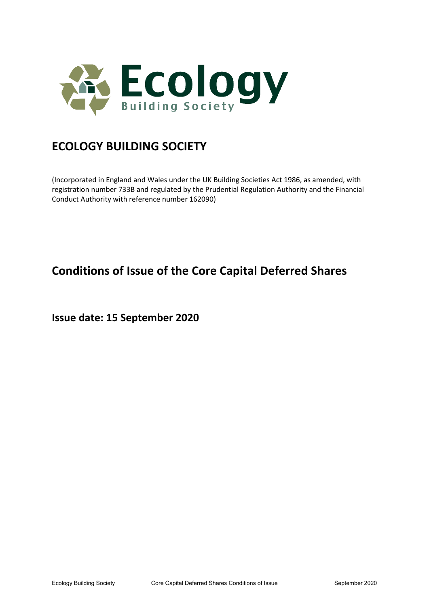

# **ECOLOGY BUILDING SOCIETY**

(Incorporated in England and Wales under the UK Building Societies Act 1986, as amended, with registration number 733B and regulated by the Prudential Regulation Authority and the Financial Conduct Authority with reference number 162090)

# **Conditions of Issue of the Core Capital Deferred Shares**

**Issue date: 15 September 2020**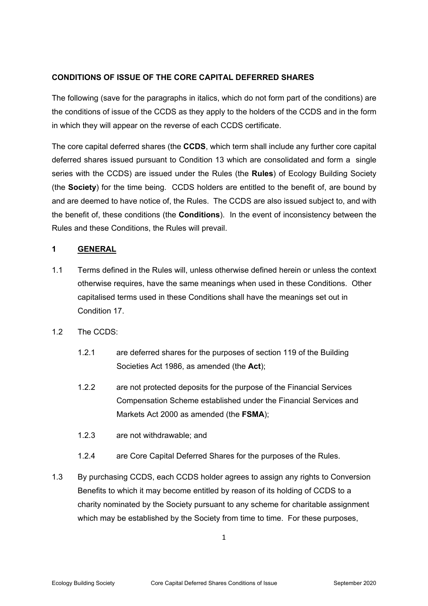# **CONDITIONS OF ISSUE OF THE CORE CAPITAL DEFERRED SHARES**

The following (save for the paragraphs in italics, which do not form part of the conditions) are the conditions of issue of the CCDS as they apply to the holders of the CCDS and in the form in which they will appear on the reverse of each CCDS certificate.

The core capital deferred shares (the **CCDS**, which term shall include any further core capital deferred shares issued pursuant to Condition 13 which are consolidated and form a single series with the CCDS) are issued under the Rules (the **Rules**) of Ecology Building Society (the **Society**) for the time being. CCDS holders are entitled to the benefit of, are bound by and are deemed to have notice of, the Rules. The CCDS are also issued subject to, and with the benefit of, these conditions (the **Conditions**). In the event of inconsistency between the Rules and these Conditions, the Rules will prevail.

# **1 GENERAL**

1.1 Terms defined in the Rules will, unless otherwise defined herein or unless the context otherwise requires, have the same meanings when used in these Conditions. Other capitalised terms used in these Conditions shall have the meanings set out in Condition 17.

# 1.2 The CCDS:

- 1.2.1 are deferred shares for the purposes of section 119 of the Building Societies Act 1986, as amended (the **Act**);
- 1.2.2 are not protected deposits for the purpose of the Financial Services Compensation Scheme established under the Financial Services and Markets Act 2000 as amended (the **FSMA**);
- 1.2.3 are not withdrawable; and
- 1.2.4 are Core Capital Deferred Shares for the purposes of the Rules.
- 1.3 By purchasing CCDS, each CCDS holder agrees to assign any rights to Conversion Benefits to which it may become entitled by reason of its holding of CCDS to a charity nominated by the Society pursuant to any scheme for charitable assignment which may be established by the Society from time to time. For these purposes,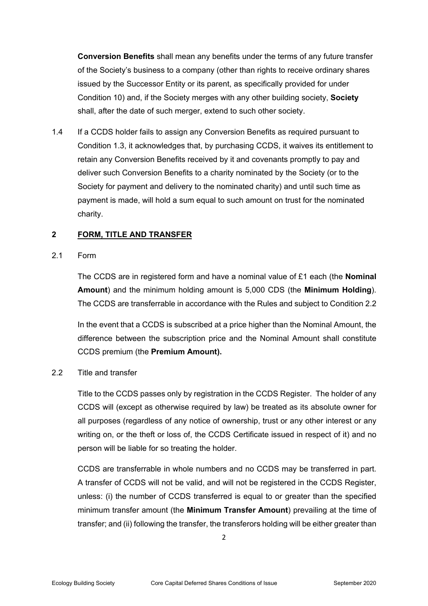**Conversion Benefits** shall mean any benefits under the terms of any future transfer of the Society's business to a company (other than rights to receive ordinary shares issued by the Successor Entity or its parent, as specifically provided for under Condition 10) and, if the Society merges with any other building society, **Society** shall, after the date of such merger, extend to such other society.

1.4 If a CCDS holder fails to assign any Conversion Benefits as required pursuant to Condition 1.3, it acknowledges that, by purchasing CCDS, it waives its entitlement to retain any Conversion Benefits received by it and covenants promptly to pay and deliver such Conversion Benefits to a charity nominated by the Society (or to the Society for payment and delivery to the nominated charity) and until such time as payment is made, will hold a sum equal to such amount on trust for the nominated charity.

## **2 FORM, TITLE AND TRANSFER**

## 2.1 Form

The CCDS are in registered form and have a nominal value of £1 each (the **Nominal Amount**) and the minimum holding amount is 5,000 CDS (the **Minimum Holding**). The CCDS are transferrable in accordance with the Rules and subject to Condition 2.2

In the event that a CCDS is subscribed at a price higher than the Nominal Amount, the difference between the subscription price and the Nominal Amount shall constitute CCDS premium (the **Premium Amount).** 

## 2.2 Title and transfer

Title to the CCDS passes only by registration in the CCDS Register. The holder of any CCDS will (except as otherwise required by law) be treated as its absolute owner for all purposes (regardless of any notice of ownership, trust or any other interest or any writing on, or the theft or loss of, the CCDS Certificate issued in respect of it) and no person will be liable for so treating the holder.

CCDS are transferrable in whole numbers and no CCDS may be transferred in part. A transfer of CCDS will not be valid, and will not be registered in the CCDS Register, unless: (i) the number of CCDS transferred is equal to or greater than the specified minimum transfer amount (the **Minimum Transfer Amount**) prevailing at the time of transfer; and (ii) following the transfer, the transferors holding will be either greater than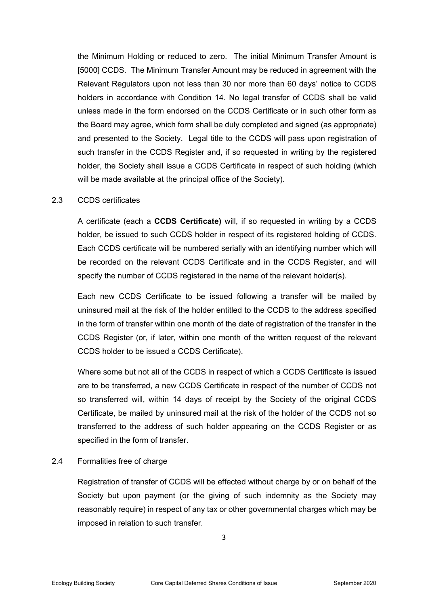the Minimum Holding or reduced to zero. The initial Minimum Transfer Amount is [5000] CCDS. The Minimum Transfer Amount may be reduced in agreement with the Relevant Regulators upon not less than 30 nor more than 60 days' notice to CCDS holders in accordance with Condition 14. No legal transfer of CCDS shall be valid unless made in the form endorsed on the CCDS Certificate or in such other form as the Board may agree, which form shall be duly completed and signed (as appropriate) and presented to the Society. Legal title to the CCDS will pass upon registration of such transfer in the CCDS Register and, if so requested in writing by the registered holder, the Society shall issue a CCDS Certificate in respect of such holding (which will be made available at the principal office of the Society).

#### 2.3 CCDS certificates

A certificate (each a **CCDS Certificate)** will, if so requested in writing by a CCDS holder, be issued to such CCDS holder in respect of its registered holding of CCDS. Each CCDS certificate will be numbered serially with an identifying number which will be recorded on the relevant CCDS Certificate and in the CCDS Register, and will specify the number of CCDS registered in the name of the relevant holder(s).

Each new CCDS Certificate to be issued following a transfer will be mailed by uninsured mail at the risk of the holder entitled to the CCDS to the address specified in the form of transfer within one month of the date of registration of the transfer in the CCDS Register (or, if later, within one month of the written request of the relevant CCDS holder to be issued a CCDS Certificate).

Where some but not all of the CCDS in respect of which a CCDS Certificate is issued are to be transferred, a new CCDS Certificate in respect of the number of CCDS not so transferred will, within 14 days of receipt by the Society of the original CCDS Certificate, be mailed by uninsured mail at the risk of the holder of the CCDS not so transferred to the address of such holder appearing on the CCDS Register or as specified in the form of transfer.

#### 2.4 Formalities free of charge

Registration of transfer of CCDS will be effected without charge by or on behalf of the Society but upon payment (or the giving of such indemnity as the Society may reasonably require) in respect of any tax or other governmental charges which may be imposed in relation to such transfer.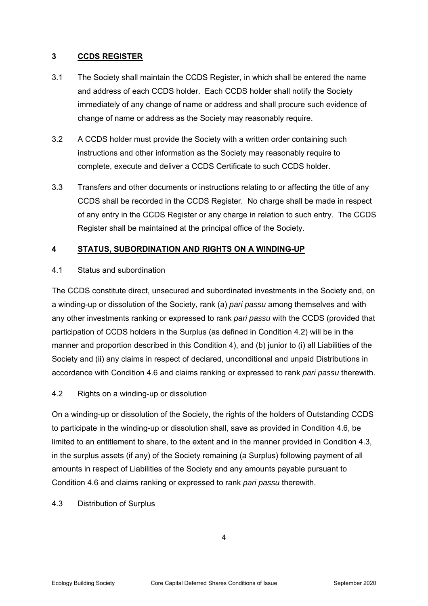# **3 CCDS REGISTER**

- 3.1 The Society shall maintain the CCDS Register, in which shall be entered the name and address of each CCDS holder. Each CCDS holder shall notify the Society immediately of any change of name or address and shall procure such evidence of change of name or address as the Society may reasonably require.
- 3.2 A CCDS holder must provide the Society with a written order containing such instructions and other information as the Society may reasonably require to complete, execute and deliver a CCDS Certificate to such CCDS holder.
- 3.3 Transfers and other documents or instructions relating to or affecting the title of any CCDS shall be recorded in the CCDS Register. No charge shall be made in respect of any entry in the CCDS Register or any charge in relation to such entry. The CCDS Register shall be maintained at the principal office of the Society.

# **4 STATUS, SUBORDINATION AND RIGHTS ON A WINDING-UP**

# 4.1 Status and subordination

The CCDS constitute direct, unsecured and subordinated investments in the Society and, on a winding-up or dissolution of the Society, rank (a) *pari passu* among themselves and with any other investments ranking or expressed to rank *pari passu* with the CCDS (provided that participation of CCDS holders in the Surplus (as defined in Condition 4.2) will be in the manner and proportion described in this Condition 4), and (b) junior to (i) all Liabilities of the Society and (ii) any claims in respect of declared, unconditional and unpaid Distributions in accordance with Condition 4.6 and claims ranking or expressed to rank *pari passu* therewith.

# 4.2 Rights on a winding-up or dissolution

On a winding-up or dissolution of the Society, the rights of the holders of Outstanding CCDS to participate in the winding-up or dissolution shall, save as provided in Condition 4.6, be limited to an entitlement to share, to the extent and in the manner provided in Condition 4.3, in the surplus assets (if any) of the Society remaining (a Surplus) following payment of all amounts in respect of Liabilities of the Society and any amounts payable pursuant to Condition 4.6 and claims ranking or expressed to rank *pari passu* therewith.

## 4.3 Distribution of Surplus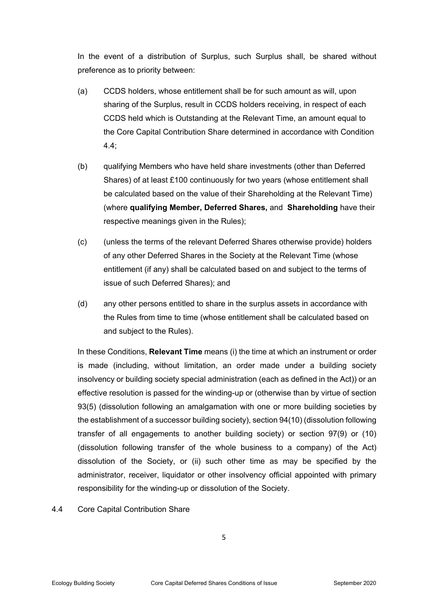In the event of a distribution of Surplus, such Surplus shall, be shared without preference as to priority between:

- (a) CCDS holders, whose entitlement shall be for such amount as will, upon sharing of the Surplus, result in CCDS holders receiving, in respect of each CCDS held which is Outstanding at the Relevant Time, an amount equal to the Core Capital Contribution Share determined in accordance with Condition 4.4;
- (b) qualifying Members who have held share investments (other than Deferred Shares) of at least £100 continuously for two years (whose entitlement shall be calculated based on the value of their Shareholding at the Relevant Time) (where **qualifying Member, Deferred Shares,** and **Shareholding** have their respective meanings given in the Rules);
- (c) (unless the terms of the relevant Deferred Shares otherwise provide) holders of any other Deferred Shares in the Society at the Relevant Time (whose entitlement (if any) shall be calculated based on and subject to the terms of issue of such Deferred Shares); and
- (d) any other persons entitled to share in the surplus assets in accordance with the Rules from time to time (whose entitlement shall be calculated based on and subject to the Rules).

In these Conditions, **Relevant Time** means (i) the time at which an instrument or order is made (including, without limitation, an order made under a building society insolvency or building society special administration (each as defined in the Act)) or an effective resolution is passed for the winding-up or (otherwise than by virtue of section 93(5) (dissolution following an amalgamation with one or more building societies by the establishment of a successor building society), section 94(10) (dissolution following transfer of all engagements to another building society) or section 97(9) or (10) (dissolution following transfer of the whole business to a company) of the Act) dissolution of the Society, or (ii) such other time as may be specified by the administrator, receiver, liquidator or other insolvency official appointed with primary responsibility for the winding-up or dissolution of the Society.

#### 4.4 Core Capital Contribution Share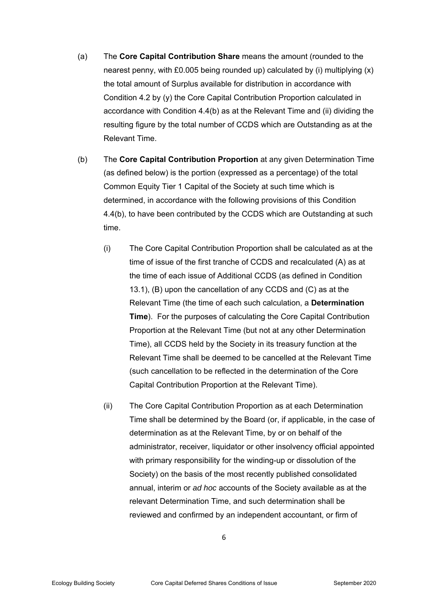- (a) The **Core Capital Contribution Share** means the amount (rounded to the nearest penny, with £0.005 being rounded up) calculated by (i) multiplying (x) the total amount of Surplus available for distribution in accordance with Condition 4.2 by (y) the Core Capital Contribution Proportion calculated in accordance with Condition 4.4(b) as at the Relevant Time and (ii) dividing the resulting figure by the total number of CCDS which are Outstanding as at the Relevant Time.
- (b) The **Core Capital Contribution Proportion** at any given Determination Time (as defined below) is the portion (expressed as a percentage) of the total Common Equity Tier 1 Capital of the Society at such time which is determined, in accordance with the following provisions of this Condition 4.4(b), to have been contributed by the CCDS which are Outstanding at such time.
	- (i) The Core Capital Contribution Proportion shall be calculated as at the time of issue of the first tranche of CCDS and recalculated (A) as at the time of each issue of Additional CCDS (as defined in Condition 13.1), (B) upon the cancellation of any CCDS and (C) as at the Relevant Time (the time of each such calculation, a **Determination Time**). For the purposes of calculating the Core Capital Contribution Proportion at the Relevant Time (but not at any other Determination Time), all CCDS held by the Society in its treasury function at the Relevant Time shall be deemed to be cancelled at the Relevant Time (such cancellation to be reflected in the determination of the Core Capital Contribution Proportion at the Relevant Time).
	- (ii) The Core Capital Contribution Proportion as at each Determination Time shall be determined by the Board (or, if applicable, in the case of determination as at the Relevant Time, by or on behalf of the administrator, receiver, liquidator or other insolvency official appointed with primary responsibility for the winding-up or dissolution of the Society) on the basis of the most recently published consolidated annual, interim or *ad hoc* accounts of the Society available as at the relevant Determination Time, and such determination shall be reviewed and confirmed by an independent accountant, or firm of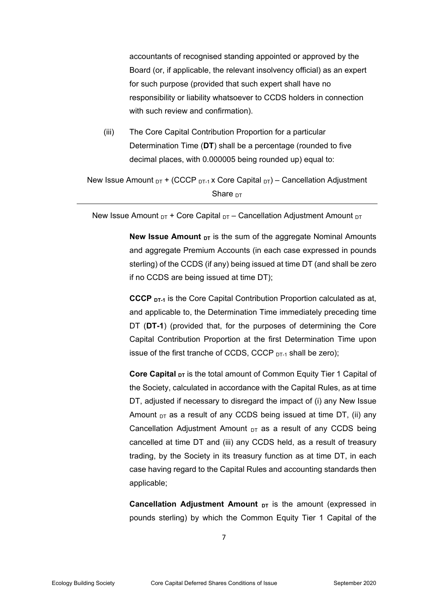accountants of recognised standing appointed or approved by the Board (or, if applicable, the relevant insolvency official) as an expert for such purpose (provided that such expert shall have no responsibility or liability whatsoever to CCDS holders in connection with such review and confirmation).

(iii) The Core Capital Contribution Proportion for a particular Determination Time (**DT**) shall be a percentage (rounded to five decimal places, with 0.000005 being rounded up) equal to:

New Issue Amount  $_{DT}$  + (CCCP  $_{DT-1}$  x Core Capital  $_{DT}$ ) – Cancellation Adjustment Share  $DT$ 

New Issue Amount  $DT + Core Capital DT - Cancellation Adjustment Amount DT$ 

**New Issue Amount <sub>DT</sub>** is the sum of the aggregate Nominal Amounts and aggregate Premium Accounts (in each case expressed in pounds sterling) of the CCDS (if any) being issued at time DT (and shall be zero if no CCDS are being issued at time DT);

**CCCP** D<sub>T-1</sub> is the Core Capital Contribution Proportion calculated as at, and applicable to, the Determination Time immediately preceding time DT (**DT-1**) (provided that, for the purposes of determining the Core Capital Contribution Proportion at the first Determination Time upon issue of the first tranche of CCDS, CCCP DT-1 shall be zero);

**Core Capital <sub>DT</sub>** is the total amount of Common Equity Tier 1 Capital of the Society, calculated in accordance with the Capital Rules, as at time DT, adjusted if necessary to disregard the impact of (i) any New Issue Amount  $DT$  as a result of any CCDS being issued at time DT, (ii) any Cancellation Adjustment Amount  $DT$  as a result of any CCDS being cancelled at time DT and (iii) any CCDS held, as a result of treasury trading, by the Society in its treasury function as at time DT, in each case having regard to the Capital Rules and accounting standards then applicable;

**Cancellation Adjustment Amount <sub>DT</sub>** is the amount (expressed in pounds sterling) by which the Common Equity Tier 1 Capital of the

7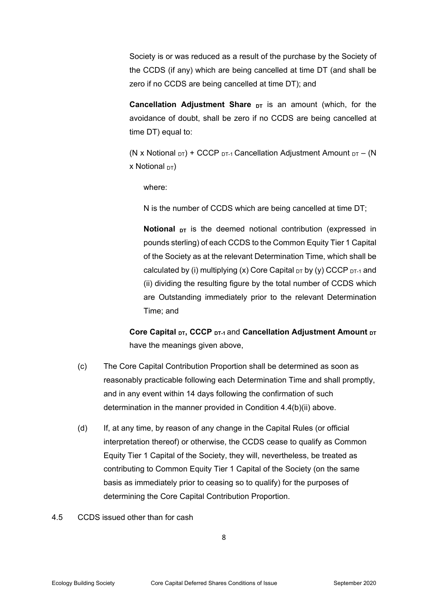Society is or was reduced as a result of the purchase by the Society of the CCDS (if any) which are being cancelled at time DT (and shall be zero if no CCDS are being cancelled at time DT); and

**Cancellation Adjustment Share <sub>DT</sub>** is an amount (which, for the avoidance of doubt, shall be zero if no CCDS are being cancelled at time DT) equal to:

(N x Notional  $DT$ ) + CCCP  $DT-1$  Cancellation Adjustment Amount  $DT - (N)$ x Notional  $DT$ )

where:

N is the number of CCDS which are being cancelled at time DT;

**Notional** <sub>DT</sub> is the deemed notional contribution (expressed in pounds sterling) of each CCDS to the Common Equity Tier 1 Capital of the Society as at the relevant Determination Time, which shall be calculated by (i) multiplying (x) Core Capital  $_{DT}$  by (y) CCCP  $_{DT-1}$  and (ii) dividing the resulting figure by the total number of CCDS which are Outstanding immediately prior to the relevant Determination Time; and

Core Capital <sub>DT</sub>, CCCP <sub>DT-1</sub> and Cancellation Adjustment Amount <sub>DT</sub> have the meanings given above.

- (c) The Core Capital Contribution Proportion shall be determined as soon as reasonably practicable following each Determination Time and shall promptly, and in any event within 14 days following the confirmation of such determination in the manner provided in Condition 4.4(b)(ii) above.
- (d) If, at any time, by reason of any change in the Capital Rules (or official interpretation thereof) or otherwise, the CCDS cease to qualify as Common Equity Tier 1 Capital of the Society, they will, nevertheless, be treated as contributing to Common Equity Tier 1 Capital of the Society (on the same basis as immediately prior to ceasing so to qualify) for the purposes of determining the Core Capital Contribution Proportion.
- 4.5 CCDS issued other than for cash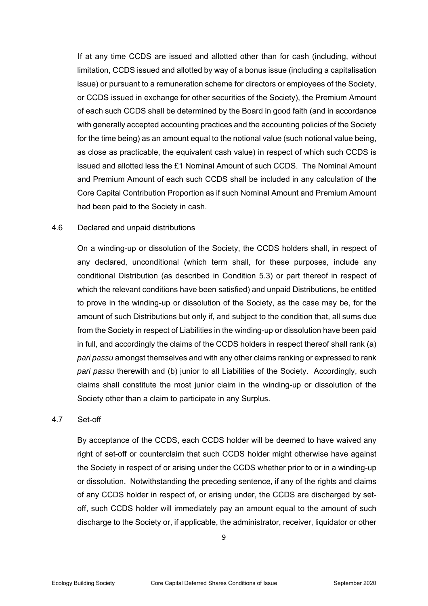If at any time CCDS are issued and allotted other than for cash (including, without limitation, CCDS issued and allotted by way of a bonus issue (including a capitalisation issue) or pursuant to a remuneration scheme for directors or employees of the Society, or CCDS issued in exchange for other securities of the Society), the Premium Amount of each such CCDS shall be determined by the Board in good faith (and in accordance with generally accepted accounting practices and the accounting policies of the Society for the time being) as an amount equal to the notional value (such notional value being, as close as practicable, the equivalent cash value) in respect of which such CCDS is issued and allotted less the £1 Nominal Amount of such CCDS. The Nominal Amount and Premium Amount of each such CCDS shall be included in any calculation of the Core Capital Contribution Proportion as if such Nominal Amount and Premium Amount had been paid to the Society in cash.

#### 4.6 Declared and unpaid distributions

On a winding-up or dissolution of the Society, the CCDS holders shall, in respect of any declared, unconditional (which term shall, for these purposes, include any conditional Distribution (as described in Condition 5.3) or part thereof in respect of which the relevant conditions have been satisfied) and unpaid Distributions, be entitled to prove in the winding-up or dissolution of the Society, as the case may be, for the amount of such Distributions but only if, and subject to the condition that, all sums due from the Society in respect of Liabilities in the winding-up or dissolution have been paid in full, and accordingly the claims of the CCDS holders in respect thereof shall rank (a) *pari passu* amongst themselves and with any other claims ranking or expressed to rank *pari passu* therewith and (b) junior to all Liabilities of the Society. Accordingly, such claims shall constitute the most junior claim in the winding-up or dissolution of the Society other than a claim to participate in any Surplus.

#### 4.7 Set-off

By acceptance of the CCDS, each CCDS holder will be deemed to have waived any right of set-off or counterclaim that such CCDS holder might otherwise have against the Society in respect of or arising under the CCDS whether prior to or in a winding-up or dissolution. Notwithstanding the preceding sentence, if any of the rights and claims of any CCDS holder in respect of, or arising under, the CCDS are discharged by setoff, such CCDS holder will immediately pay an amount equal to the amount of such discharge to the Society or, if applicable, the administrator, receiver, liquidator or other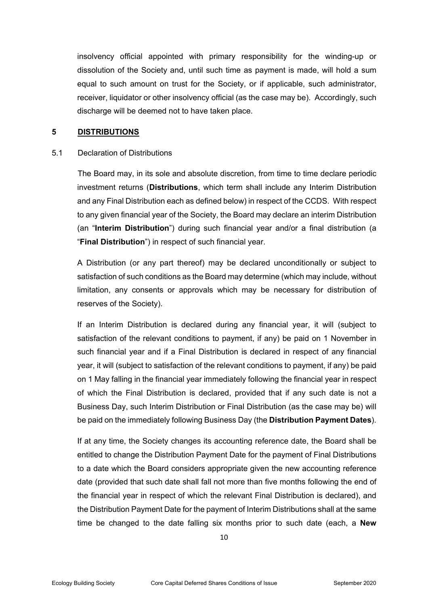insolvency official appointed with primary responsibility for the winding-up or dissolution of the Society and, until such time as payment is made, will hold a sum equal to such amount on trust for the Society, or if applicable, such administrator, receiver, liquidator or other insolvency official (as the case may be). Accordingly, such discharge will be deemed not to have taken place.

#### **5 DISTRIBUTIONS**

#### 5.1 Declaration of Distributions

 The Board may, in its sole and absolute discretion, from time to time declare periodic investment returns (**Distributions**, which term shall include any Interim Distribution and any Final Distribution each as defined below) in respect of the CCDS. With respect to any given financial year of the Society, the Board may declare an interim Distribution (an "**Interim Distribution**") during such financial year and/or a final distribution (a "**Final Distribution**") in respect of such financial year.

A Distribution (or any part thereof) may be declared unconditionally or subject to satisfaction of such conditions as the Board may determine (which may include, without limitation, any consents or approvals which may be necessary for distribution of reserves of the Society).

If an Interim Distribution is declared during any financial year, it will (subject to satisfaction of the relevant conditions to payment, if any) be paid on 1 November in such financial year and if a Final Distribution is declared in respect of any financial year, it will (subject to satisfaction of the relevant conditions to payment, if any) be paid on 1 May falling in the financial year immediately following the financial year in respect of which the Final Distribution is declared, provided that if any such date is not a Business Day, such Interim Distribution or Final Distribution (as the case may be) will be paid on the immediately following Business Day (the **Distribution Payment Dates**).

If at any time, the Society changes its accounting reference date, the Board shall be entitled to change the Distribution Payment Date for the payment of Final Distributions to a date which the Board considers appropriate given the new accounting reference date (provided that such date shall fall not more than five months following the end of the financial year in respect of which the relevant Final Distribution is declared), and the Distribution Payment Date for the payment of Interim Distributions shall at the same time be changed to the date falling six months prior to such date (each, a **New**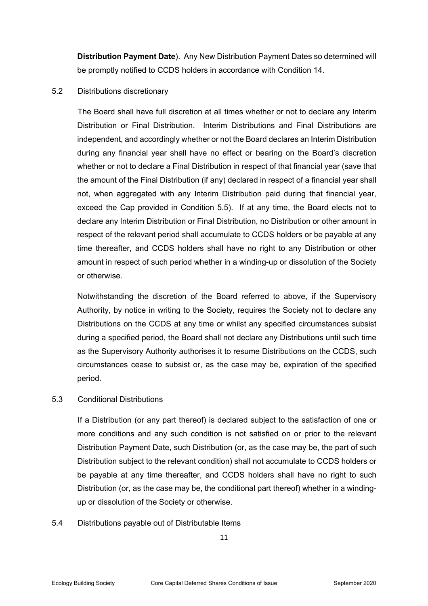**Distribution Payment Date**). Any New Distribution Payment Dates so determined will be promptly notified to CCDS holders in accordance with Condition 14.

#### 5.2 Distributions discretionary

 The Board shall have full discretion at all times whether or not to declare any Interim Distribution or Final Distribution. Interim Distributions and Final Distributions are independent, and accordingly whether or not the Board declares an Interim Distribution during any financial year shall have no effect or bearing on the Board's discretion whether or not to declare a Final Distribution in respect of that financial year (save that the amount of the Final Distribution (if any) declared in respect of a financial year shall not, when aggregated with any Interim Distribution paid during that financial year, exceed the Cap provided in Condition 5.5). If at any time, the Board elects not to declare any Interim Distribution or Final Distribution, no Distribution or other amount in respect of the relevant period shall accumulate to CCDS holders or be payable at any time thereafter, and CCDS holders shall have no right to any Distribution or other amount in respect of such period whether in a winding-up or dissolution of the Society or otherwise.

Notwithstanding the discretion of the Board referred to above, if the Supervisory Authority, by notice in writing to the Society, requires the Society not to declare any Distributions on the CCDS at any time or whilst any specified circumstances subsist during a specified period, the Board shall not declare any Distributions until such time as the Supervisory Authority authorises it to resume Distributions on the CCDS, such circumstances cease to subsist or, as the case may be, expiration of the specified period.

# 5.3 Conditional Distributions

 If a Distribution (or any part thereof) is declared subject to the satisfaction of one or more conditions and any such condition is not satisfied on or prior to the relevant Distribution Payment Date, such Distribution (or, as the case may be, the part of such Distribution subject to the relevant condition) shall not accumulate to CCDS holders or be payable at any time thereafter, and CCDS holders shall have no right to such Distribution (or, as the case may be, the conditional part thereof) whether in a windingup or dissolution of the Society or otherwise.

## 5.4 Distributions payable out of Distributable Items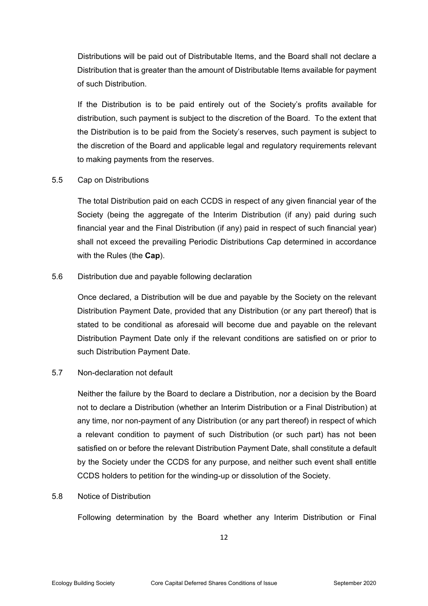Distributions will be paid out of Distributable Items, and the Board shall not declare a Distribution that is greater than the amount of Distributable Items available for payment of such Distribution.

 If the Distribution is to be paid entirely out of the Society's profits available for distribution, such payment is subject to the discretion of the Board. To the extent that the Distribution is to be paid from the Society's reserves, such payment is subject to the discretion of the Board and applicable legal and regulatory requirements relevant to making payments from the reserves.

## 5.5 Cap on Distributions

 The total Distribution paid on each CCDS in respect of any given financial year of the Society (being the aggregate of the Interim Distribution (if any) paid during such financial year and the Final Distribution (if any) paid in respect of such financial year) shall not exceed the prevailing Periodic Distributions Cap determined in accordance with the Rules (the **Cap**).

#### 5.6 Distribution due and payable following declaration

 Once declared, a Distribution will be due and payable by the Society on the relevant Distribution Payment Date, provided that any Distribution (or any part thereof) that is stated to be conditional as aforesaid will become due and payable on the relevant Distribution Payment Date only if the relevant conditions are satisfied on or prior to such Distribution Payment Date.

## 5.7 Non-declaration not default

 Neither the failure by the Board to declare a Distribution, nor a decision by the Board not to declare a Distribution (whether an Interim Distribution or a Final Distribution) at any time, nor non-payment of any Distribution (or any part thereof) in respect of which a relevant condition to payment of such Distribution (or such part) has not been satisfied on or before the relevant Distribution Payment Date, shall constitute a default by the Society under the CCDS for any purpose, and neither such event shall entitle CCDS holders to petition for the winding-up or dissolution of the Society.

## 5.8 Notice of Distribution

Following determination by the Board whether any Interim Distribution or Final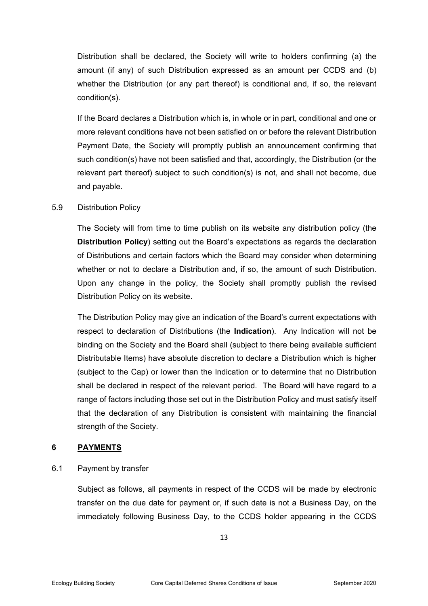Distribution shall be declared, the Society will write to holders confirming (a) the amount (if any) of such Distribution expressed as an amount per CCDS and (b) whether the Distribution (or any part thereof) is conditional and, if so, the relevant condition(s).

 If the Board declares a Distribution which is, in whole or in part, conditional and one or more relevant conditions have not been satisfied on or before the relevant Distribution Payment Date, the Society will promptly publish an announcement confirming that such condition(s) have not been satisfied and that, accordingly, the Distribution (or the relevant part thereof) subject to such condition(s) is not, and shall not become, due and payable.

## 5.9 Distribution Policy

The Society will from time to time publish on its website any distribution policy (the **Distribution Policy**) setting out the Board's expectations as regards the declaration of Distributions and certain factors which the Board may consider when determining whether or not to declare a Distribution and, if so, the amount of such Distribution. Upon any change in the policy, the Society shall promptly publish the revised Distribution Policy on its website.

 The Distribution Policy may give an indication of the Board's current expectations with respect to declaration of Distributions (the **Indication**). Any Indication will not be binding on the Society and the Board shall (subject to there being available sufficient Distributable Items) have absolute discretion to declare a Distribution which is higher (subject to the Cap) or lower than the Indication or to determine that no Distribution shall be declared in respect of the relevant period. The Board will have regard to a range of factors including those set out in the Distribution Policy and must satisfy itself that the declaration of any Distribution is consistent with maintaining the financial strength of the Society.

## **6 PAYMENTS**

## 6.1 Payment by transfer

 Subject as follows, all payments in respect of the CCDS will be made by electronic transfer on the due date for payment or, if such date is not a Business Day, on the immediately following Business Day, to the CCDS holder appearing in the CCDS

13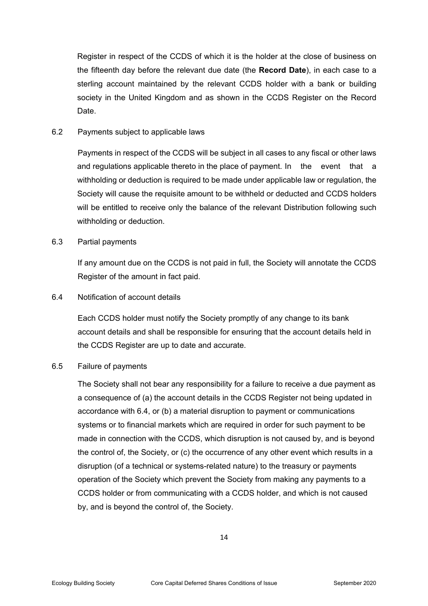Register in respect of the CCDS of which it is the holder at the close of business on the fifteenth day before the relevant due date (the **Record Date**), in each case to a sterling account maintained by the relevant CCDS holder with a bank or building society in the United Kingdom and as shown in the CCDS Register on the Record Date.

#### 6.2 Payments subject to applicable laws

 Payments in respect of the CCDS will be subject in all cases to any fiscal or other laws and regulations applicable thereto in the place of payment. In the event that a withholding or deduction is required to be made under applicable law or regulation, the Society will cause the requisite amount to be withheld or deducted and CCDS holders will be entitled to receive only the balance of the relevant Distribution following such withholding or deduction.

#### 6.3 Partial payments

If any amount due on the CCDS is not paid in full, the Society will annotate the CCDS Register of the amount in fact paid.

#### 6.4 Notification of account details

Each CCDS holder must notify the Society promptly of any change to its bank account details and shall be responsible for ensuring that the account details held in the CCDS Register are up to date and accurate.

#### 6.5 Failure of payments

The Society shall not bear any responsibility for a failure to receive a due payment as a consequence of (a) the account details in the CCDS Register not being updated in accordance with 6.4, or (b) a material disruption to payment or communications systems or to financial markets which are required in order for such payment to be made in connection with the CCDS, which disruption is not caused by, and is beyond the control of, the Society, or (c) the occurrence of any other event which results in a disruption (of a technical or systems-related nature) to the treasury or payments operation of the Society which prevent the Society from making any payments to a CCDS holder or from communicating with a CCDS holder, and which is not caused by, and is beyond the control of, the Society.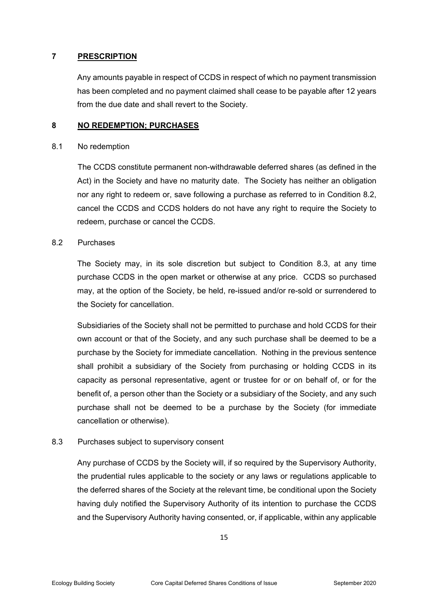## **7 PRESCRIPTION**

Any amounts payable in respect of CCDS in respect of which no payment transmission has been completed and no payment claimed shall cease to be payable after 12 years from the due date and shall revert to the Society.

## **8 NO REDEMPTION; PURCHASES**

#### 8.1 No redemption

 The CCDS constitute permanent non-withdrawable deferred shares (as defined in the Act) in the Society and have no maturity date. The Society has neither an obligation nor any right to redeem or, save following a purchase as referred to in Condition 8.2, cancel the CCDS and CCDS holders do not have any right to require the Society to redeem, purchase or cancel the CCDS.

## 8.2 Purchases

The Society may, in its sole discretion but subject to Condition 8.3, at any time purchase CCDS in the open market or otherwise at any price. CCDS so purchased may, at the option of the Society, be held, re-issued and/or re-sold or surrendered to the Society for cancellation.

Subsidiaries of the Society shall not be permitted to purchase and hold CCDS for their own account or that of the Society, and any such purchase shall be deemed to be a purchase by the Society for immediate cancellation. Nothing in the previous sentence shall prohibit a subsidiary of the Society from purchasing or holding CCDS in its capacity as personal representative, agent or trustee for or on behalf of, or for the benefit of, a person other than the Society or a subsidiary of the Society, and any such purchase shall not be deemed to be a purchase by the Society (for immediate cancellation or otherwise).

8.3 Purchases subject to supervisory consent

Any purchase of CCDS by the Society will, if so required by the Supervisory Authority, the prudential rules applicable to the society or any laws or regulations applicable to the deferred shares of the Society at the relevant time, be conditional upon the Society having duly notified the Supervisory Authority of its intention to purchase the CCDS and the Supervisory Authority having consented, or, if applicable, within any applicable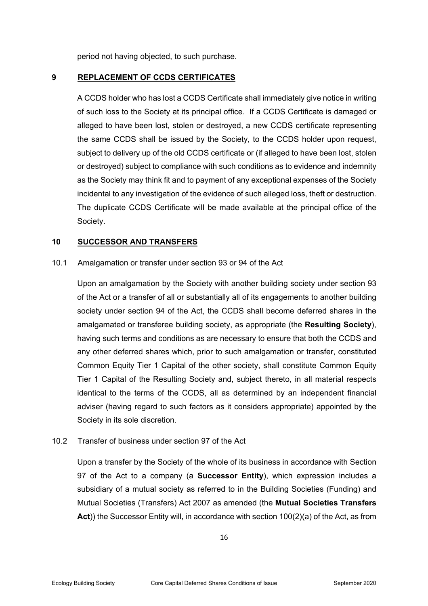period not having objected, to such purchase.

## **9 REPLACEMENT OF CCDS CERTIFICATES**

A CCDS holder who has lost a CCDS Certificate shall immediately give notice in writing of such loss to the Society at its principal office. If a CCDS Certificate is damaged or alleged to have been lost, stolen or destroyed, a new CCDS certificate representing the same CCDS shall be issued by the Society, to the CCDS holder upon request, subject to delivery up of the old CCDS certificate or (if alleged to have been lost, stolen or destroyed) subject to compliance with such conditions as to evidence and indemnity as the Society may think fit and to payment of any exceptional expenses of the Society incidental to any investigation of the evidence of such alleged loss, theft or destruction. The duplicate CCDS Certificate will be made available at the principal office of the Society.

#### **10 SUCCESSOR AND TRANSFERS**

#### 10.1 Amalgamation or transfer under section 93 or 94 of the Act

Upon an amalgamation by the Society with another building society under section 93 of the Act or a transfer of all or substantially all of its engagements to another building society under section 94 of the Act, the CCDS shall become deferred shares in the amalgamated or transferee building society, as appropriate (the **Resulting Society**), having such terms and conditions as are necessary to ensure that both the CCDS and any other deferred shares which, prior to such amalgamation or transfer, constituted Common Equity Tier 1 Capital of the other society, shall constitute Common Equity Tier 1 Capital of the Resulting Society and, subject thereto, in all material respects identical to the terms of the CCDS, all as determined by an independent financial adviser (having regard to such factors as it considers appropriate) appointed by the Society in its sole discretion.

## 10.2 Transfer of business under section 97 of the Act

Upon a transfer by the Society of the whole of its business in accordance with Section 97 of the Act to a company (a **Successor Entity**), which expression includes a subsidiary of a mutual society as referred to in the Building Societies (Funding) and Mutual Societies (Transfers) Act 2007 as amended (the **Mutual Societies Transfers Act**)) the Successor Entity will, in accordance with section 100(2)(a) of the Act, as from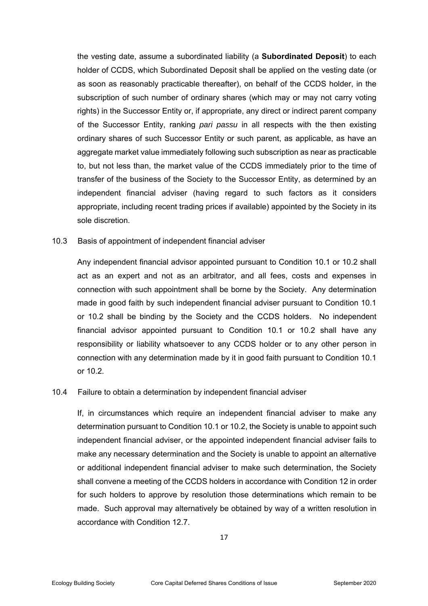the vesting date, assume a subordinated liability (a **Subordinated Deposit**) to each holder of CCDS, which Subordinated Deposit shall be applied on the vesting date (or as soon as reasonably practicable thereafter), on behalf of the CCDS holder, in the subscription of such number of ordinary shares (which may or may not carry voting rights) in the Successor Entity or, if appropriate, any direct or indirect parent company of the Successor Entity, ranking *pari passu* in all respects with the then existing ordinary shares of such Successor Entity or such parent, as applicable, as have an aggregate market value immediately following such subscription as near as practicable to, but not less than, the market value of the CCDS immediately prior to the time of transfer of the business of the Society to the Successor Entity, as determined by an independent financial adviser (having regard to such factors as it considers appropriate, including recent trading prices if available) appointed by the Society in its sole discretion.

10.3 Basis of appointment of independent financial adviser

Any independent financial advisor appointed pursuant to Condition 10.1 or 10.2 shall act as an expert and not as an arbitrator, and all fees, costs and expenses in connection with such appointment shall be borne by the Society. Any determination made in good faith by such independent financial adviser pursuant to Condition 10.1 or 10.2 shall be binding by the Society and the CCDS holders. No independent financial advisor appointed pursuant to Condition 10.1 or 10.2 shall have any responsibility or liability whatsoever to any CCDS holder or to any other person in connection with any determination made by it in good faith pursuant to Condition 10.1 or 10.2.

## 10.4 Failure to obtain a determination by independent financial adviser

If, in circumstances which require an independent financial adviser to make any determination pursuant to Condition 10.1 or 10.2, the Society is unable to appoint such independent financial adviser, or the appointed independent financial adviser fails to make any necessary determination and the Society is unable to appoint an alternative or additional independent financial adviser to make such determination, the Society shall convene a meeting of the CCDS holders in accordance with Condition 12 in order for such holders to approve by resolution those determinations which remain to be made. Such approval may alternatively be obtained by way of a written resolution in accordance with Condition 12.7.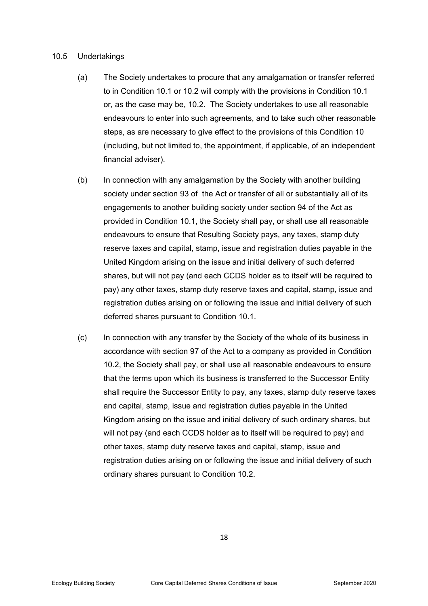#### 10.5 Undertakings

- (a) The Society undertakes to procure that any amalgamation or transfer referred to in Condition 10.1 or 10.2 will comply with the provisions in Condition 10.1 or, as the case may be, 10.2. The Society undertakes to use all reasonable endeavours to enter into such agreements, and to take such other reasonable steps, as are necessary to give effect to the provisions of this Condition 10 (including, but not limited to, the appointment, if applicable, of an independent financial adviser).
- (b) In connection with any amalgamation by the Society with another building society under section 93 of the Act or transfer of all or substantially all of its engagements to another building society under section 94 of the Act as provided in Condition 10.1, the Society shall pay, or shall use all reasonable endeavours to ensure that Resulting Society pays, any taxes, stamp duty reserve taxes and capital, stamp, issue and registration duties payable in the United Kingdom arising on the issue and initial delivery of such deferred shares, but will not pay (and each CCDS holder as to itself will be required to pay) any other taxes, stamp duty reserve taxes and capital, stamp, issue and registration duties arising on or following the issue and initial delivery of such deferred shares pursuant to Condition 10.1.
- (c) In connection with any transfer by the Society of the whole of its business in accordance with section 97 of the Act to a company as provided in Condition 10.2, the Society shall pay, or shall use all reasonable endeavours to ensure that the terms upon which its business is transferred to the Successor Entity shall require the Successor Entity to pay, any taxes, stamp duty reserve taxes and capital, stamp, issue and registration duties payable in the United Kingdom arising on the issue and initial delivery of such ordinary shares, but will not pay (and each CCDS holder as to itself will be required to pay) and other taxes, stamp duty reserve taxes and capital, stamp, issue and registration duties arising on or following the issue and initial delivery of such ordinary shares pursuant to Condition 10.2.

18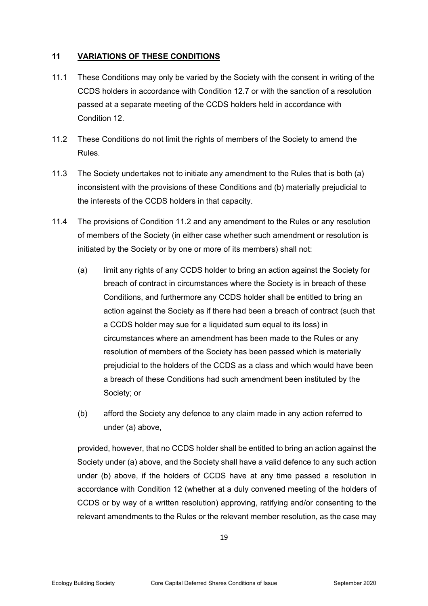## **11 VARIATIONS OF THESE CONDITIONS**

- 11.1 These Conditions may only be varied by the Society with the consent in writing of the CCDS holders in accordance with Condition 12.7 or with the sanction of a resolution passed at a separate meeting of the CCDS holders held in accordance with Condition 12.
- 11.2 These Conditions do not limit the rights of members of the Society to amend the Rules.
- 11.3 The Society undertakes not to initiate any amendment to the Rules that is both (a) inconsistent with the provisions of these Conditions and (b) materially prejudicial to the interests of the CCDS holders in that capacity.
- 11.4 The provisions of Condition 11.2 and any amendment to the Rules or any resolution of members of the Society (in either case whether such amendment or resolution is initiated by the Society or by one or more of its members) shall not:
	- (a) limit any rights of any CCDS holder to bring an action against the Society for breach of contract in circumstances where the Society is in breach of these Conditions, and furthermore any CCDS holder shall be entitled to bring an action against the Society as if there had been a breach of contract (such that a CCDS holder may sue for a liquidated sum equal to its loss) in circumstances where an amendment has been made to the Rules or any resolution of members of the Society has been passed which is materially prejudicial to the holders of the CCDS as a class and which would have been a breach of these Conditions had such amendment been instituted by the Society; or
	- (b) afford the Society any defence to any claim made in any action referred to under (a) above,

provided, however, that no CCDS holder shall be entitled to bring an action against the Society under (a) above, and the Society shall have a valid defence to any such action under (b) above, if the holders of CCDS have at any time passed a resolution in accordance with Condition 12 (whether at a duly convened meeting of the holders of CCDS or by way of a written resolution) approving, ratifying and/or consenting to the relevant amendments to the Rules or the relevant member resolution, as the case may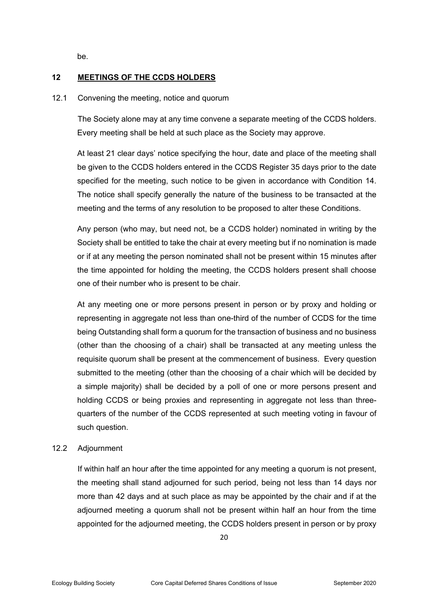be.

## **12 MEETINGS OF THE CCDS HOLDERS**

#### 12.1 Convening the meeting, notice and quorum

 The Society alone may at any time convene a separate meeting of the CCDS holders. Every meeting shall be held at such place as the Society may approve.

At least 21 clear days' notice specifying the hour, date and place of the meeting shall be given to the CCDS holders entered in the CCDS Register 35 days prior to the date specified for the meeting, such notice to be given in accordance with Condition 14. The notice shall specify generally the nature of the business to be transacted at the meeting and the terms of any resolution to be proposed to alter these Conditions.

Any person (who may, but need not, be a CCDS holder) nominated in writing by the Society shall be entitled to take the chair at every meeting but if no nomination is made or if at any meeting the person nominated shall not be present within 15 minutes after the time appointed for holding the meeting, the CCDS holders present shall choose one of their number who is present to be chair.

At any meeting one or more persons present in person or by proxy and holding or representing in aggregate not less than one-third of the number of CCDS for the time being Outstanding shall form a quorum for the transaction of business and no business (other than the choosing of a chair) shall be transacted at any meeting unless the requisite quorum shall be present at the commencement of business. Every question submitted to the meeting (other than the choosing of a chair which will be decided by a simple majority) shall be decided by a poll of one or more persons present and holding CCDS or being proxies and representing in aggregate not less than threequarters of the number of the CCDS represented at such meeting voting in favour of such question.

## 12.2 Adjournment

 If within half an hour after the time appointed for any meeting a quorum is not present, the meeting shall stand adjourned for such period, being not less than 14 days nor more than 42 days and at such place as may be appointed by the chair and if at the adjourned meeting a quorum shall not be present within half an hour from the time appointed for the adjourned meeting, the CCDS holders present in person or by proxy

20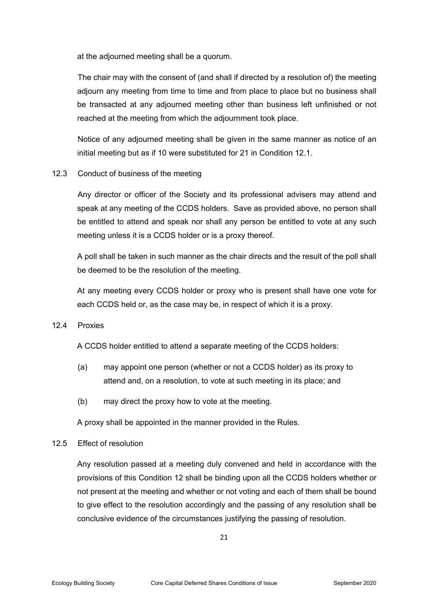at the adjourned meeting shall be a quorum.

The chair may with the consent of (and shall if directed by a resolution of) the meeting adjourn any meeting from time to time and from place to place but no business shall be transacted at any adjourned meeting other than business left unfinished or not reached at the meeting from which the adjournment took place.

 Notice of any adjourned meeting shall be given in the same manner as notice of an initial meeting but as if 10 were substituted for 21 in Condition 12.1.

## 12.3 Conduct of business of the meeting

 Any director or officer of the Society and its professional advisers may attend and speak at any meeting of the CCDS holders. Save as provided above, no person shall be entitled to attend and speak nor shall any person be entitled to vote at any such meeting unless it is a CCDS holder or is a proxy thereof.

A poll shall be taken in such manner as the chair directs and the result of the poll shall be deemed to be the resolution of the meeting.

At any meeting every CCDS holder or proxy who is present shall have one vote for each CCDS held or, as the case may be, in respect of which it is a proxy.

#### 12.4 Proxies

A CCDS holder entitled to attend a separate meeting of the CCDS holders:

- (a) may appoint one person (whether or not a CCDS holder) as its proxy to attend and, on a resolution, to vote at such meeting in its place; and
- (b) may direct the proxy how to vote at the meeting.

A proxy shall be appointed in the manner provided in the Rules.

#### 12.5 Effect of resolution

Any resolution passed at a meeting duly convened and held in accordance with the provisions of this Condition 12 shall be binding upon all the CCDS holders whether or not present at the meeting and whether or not voting and each of them shall be bound to give effect to the resolution accordingly and the passing of any resolution shall be conclusive evidence of the circumstances justifying the passing of resolution.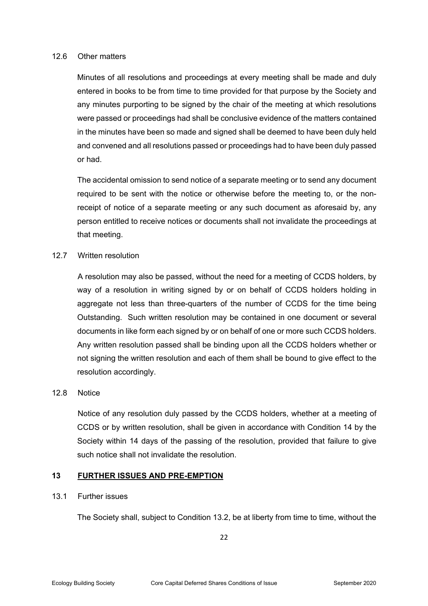#### 12.6 Other matters

Minutes of all resolutions and proceedings at every meeting shall be made and duly entered in books to be from time to time provided for that purpose by the Society and any minutes purporting to be signed by the chair of the meeting at which resolutions were passed or proceedings had shall be conclusive evidence of the matters contained in the minutes have been so made and signed shall be deemed to have been duly held and convened and all resolutions passed or proceedings had to have been duly passed or had.

The accidental omission to send notice of a separate meeting or to send any document required to be sent with the notice or otherwise before the meeting to, or the nonreceipt of notice of a separate meeting or any such document as aforesaid by, any person entitled to receive notices or documents shall not invalidate the proceedings at that meeting.

## 12.7 Written resolution

 A resolution may also be passed, without the need for a meeting of CCDS holders, by way of a resolution in writing signed by or on behalf of CCDS holders holding in aggregate not less than three-quarters of the number of CCDS for the time being Outstanding. Such written resolution may be contained in one document or several documents in like form each signed by or on behalf of one or more such CCDS holders. Any written resolution passed shall be binding upon all the CCDS holders whether or not signing the written resolution and each of them shall be bound to give effect to the resolution accordingly.

## 12.8 Notice

 Notice of any resolution duly passed by the CCDS holders, whether at a meeting of CCDS or by written resolution, shall be given in accordance with Condition 14 by the Society within 14 days of the passing of the resolution, provided that failure to give such notice shall not invalidate the resolution.

## **13 FURTHER ISSUES AND PRE-EMPTION**

# 13.1 Further issues

The Society shall, subject to Condition 13.2, be at liberty from time to time, without the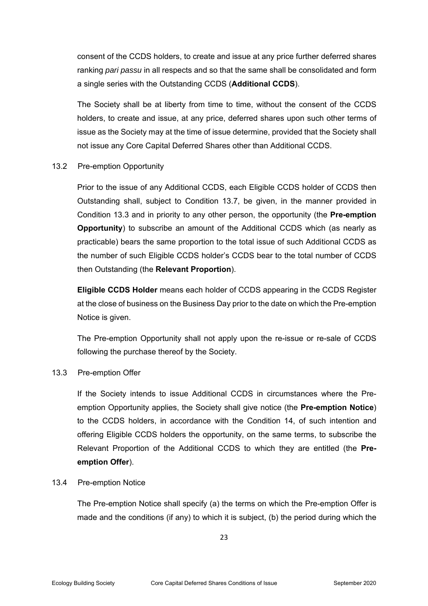consent of the CCDS holders, to create and issue at any price further deferred shares ranking *pari passu* in all respects and so that the same shall be consolidated and form a single series with the Outstanding CCDS (**Additional CCDS**).

The Society shall be at liberty from time to time, without the consent of the CCDS holders, to create and issue, at any price, deferred shares upon such other terms of issue as the Society may at the time of issue determine, provided that the Society shall not issue any Core Capital Deferred Shares other than Additional CCDS.

## 13.2 Pre-emption Opportunity

Prior to the issue of any Additional CCDS, each Eligible CCDS holder of CCDS then Outstanding shall, subject to Condition 13.7, be given, in the manner provided in Condition 13.3 and in priority to any other person, the opportunity (the **Pre-emption Opportunity**) to subscribe an amount of the Additional CCDS which (as nearly as practicable) bears the same proportion to the total issue of such Additional CCDS as the number of such Eligible CCDS holder's CCDS bear to the total number of CCDS then Outstanding (the **Relevant Proportion**).

**Eligible CCDS Holder** means each holder of CCDS appearing in the CCDS Register at the close of business on the Business Day prior to the date on which the Pre-emption Notice is given.

The Pre-emption Opportunity shall not apply upon the re-issue or re-sale of CCDS following the purchase thereof by the Society.

#### 13.3 Pre-emption Offer

If the Society intends to issue Additional CCDS in circumstances where the Preemption Opportunity applies, the Society shall give notice (the **Pre-emption Notice**) to the CCDS holders, in accordance with the Condition 14, of such intention and offering Eligible CCDS holders the opportunity, on the same terms, to subscribe the Relevant Proportion of the Additional CCDS to which they are entitled (the **Preemption Offer**).

#### 13.4 Pre-emption Notice

The Pre-emption Notice shall specify (a) the terms on which the Pre-emption Offer is made and the conditions (if any) to which it is subject, (b) the period during which the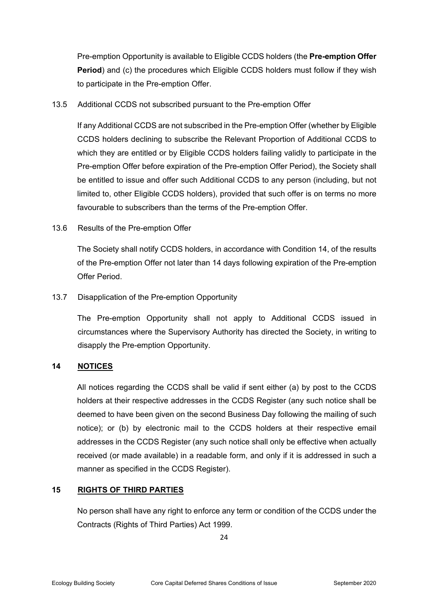Pre-emption Opportunity is available to Eligible CCDS holders (the **Pre-emption Offer Period**) and (c) the procedures which Eligible CCDS holders must follow if they wish to participate in the Pre-emption Offer.

13.5 Additional CCDS not subscribed pursuant to the Pre-emption Offer

If any Additional CCDS are not subscribed in the Pre-emption Offer (whether by Eligible CCDS holders declining to subscribe the Relevant Proportion of Additional CCDS to which they are entitled or by Eligible CCDS holders failing validly to participate in the Pre-emption Offer before expiration of the Pre-emption Offer Period), the Society shall be entitled to issue and offer such Additional CCDS to any person (including, but not limited to, other Eligible CCDS holders), provided that such offer is on terms no more favourable to subscribers than the terms of the Pre-emption Offer.

13.6 Results of the Pre-emption Offer

The Society shall notify CCDS holders, in accordance with Condition 14, of the results of the Pre-emption Offer not later than 14 days following expiration of the Pre-emption Offer Period.

13.7 Disapplication of the Pre-emption Opportunity

The Pre-emption Opportunity shall not apply to Additional CCDS issued in circumstances where the Supervisory Authority has directed the Society, in writing to disapply the Pre-emption Opportunity.

# **14 NOTICES**

All notices regarding the CCDS shall be valid if sent either (a) by post to the CCDS holders at their respective addresses in the CCDS Register (any such notice shall be deemed to have been given on the second Business Day following the mailing of such notice); or (b) by electronic mail to the CCDS holders at their respective email addresses in the CCDS Register (any such notice shall only be effective when actually received (or made available) in a readable form, and only if it is addressed in such a manner as specified in the CCDS Register).

# **15 RIGHTS OF THIRD PARTIES**

No person shall have any right to enforce any term or condition of the CCDS under the Contracts (Rights of Third Parties) Act 1999.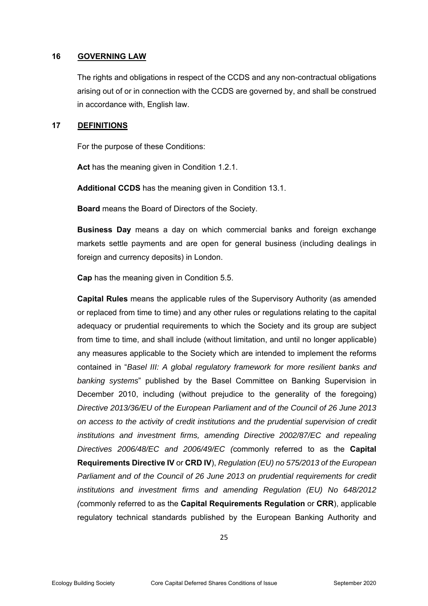#### **16 GOVERNING LAW**

The rights and obligations in respect of the CCDS and any non-contractual obligations arising out of or in connection with the CCDS are governed by, and shall be construed in accordance with, English law.

#### **17 DEFINITIONS**

For the purpose of these Conditions:

**Act** has the meaning given in Condition 1.2.1.

**Additional CCDS** has the meaning given in Condition 13.1.

**Board** means the Board of Directors of the Society.

**Business Day** means a day on which commercial banks and foreign exchange markets settle payments and are open for general business (including dealings in foreign and currency deposits) in London.

**Cap** has the meaning given in Condition 5.5.

**Capital Rules** means the applicable rules of the Supervisory Authority (as amended or replaced from time to time) and any other rules or regulations relating to the capital adequacy or prudential requirements to which the Society and its group are subject from time to time, and shall include (without limitation, and until no longer applicable) any measures applicable to the Society which are intended to implement the reforms contained in "*Basel III: A global regulatory framework for more resilient banks and banking systems*" published by the Basel Committee on Banking Supervision in December 2010, including (without prejudice to the generality of the foregoing) *Directive 2013/36/EU of the European Parliament and of the Council of 26 June 2013 on access to the activity of credit institutions and the prudential supervision of credit institutions and investment firms, amending Directive 2002/87/EC and repealing Directives 2006/48/EC and 2006/49/EC (*commonly referred to as the **Capital Requirements Directive IV** or **CRD IV**), *Regulation (EU) no 575/2013 of the European Parliament and of the Council of 26 June 2013 on prudential requirements for credit institutions and investment firms and amending Regulation (EU) No 648/2012 (*commonly referred to as the **Capital Requirements Regulation** or **CRR**), applicable regulatory technical standards published by the European Banking Authority and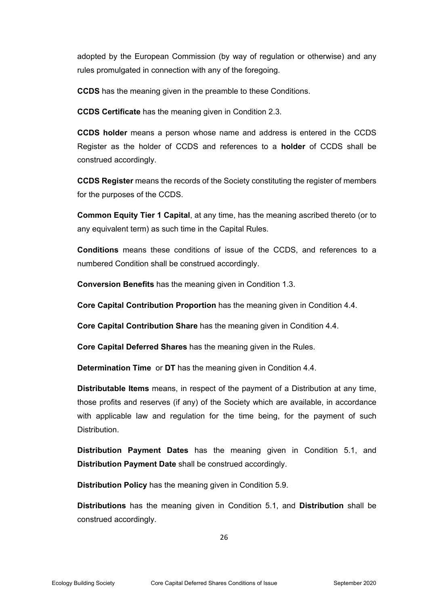adopted by the European Commission (by way of regulation or otherwise) and any rules promulgated in connection with any of the foregoing.

**CCDS** has the meaning given in the preamble to these Conditions.

**CCDS Certificate** has the meaning given in Condition 2.3.

**CCDS holder** means a person whose name and address is entered in the CCDS Register as the holder of CCDS and references to a **holder** of CCDS shall be construed accordingly.

**CCDS Register** means the records of the Society constituting the register of members for the purposes of the CCDS.

**Common Equity Tier 1 Capital**, at any time, has the meaning ascribed thereto (or to any equivalent term) as such time in the Capital Rules.

**Conditions** means these conditions of issue of the CCDS, and references to a numbered Condition shall be construed accordingly.

**Conversion Benefits** has the meaning given in Condition 1.3.

**Core Capital Contribution Proportion** has the meaning given in Condition 4.4.

**Core Capital Contribution Share** has the meaning given in Condition 4.4.

**Core Capital Deferred Shares** has the meaning given in the Rules.

**Determination Time** or **DT** has the meaning given in Condition 4.4.

**Distributable Items** means, in respect of the payment of a Distribution at any time, those profits and reserves (if any) of the Society which are available, in accordance with applicable law and regulation for the time being, for the payment of such Distribution.

**Distribution Payment Dates** has the meaning given in Condition 5.1, and **Distribution Payment Date** shall be construed accordingly.

**Distribution Policy** has the meaning given in Condition 5.9.

**Distributions** has the meaning given in Condition 5.1, and **Distribution** shall be construed accordingly.

26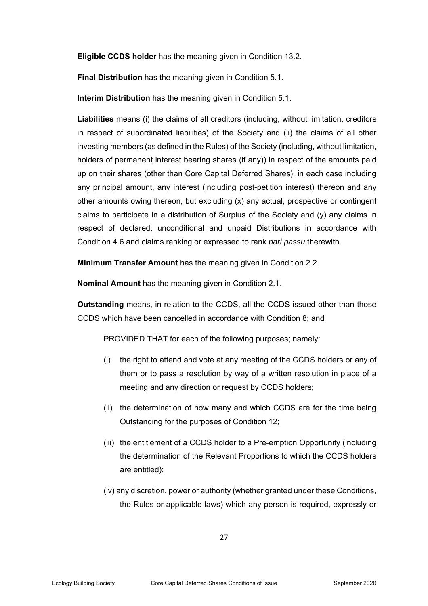**Eligible CCDS holder** has the meaning given in Condition 13.2.

**Final Distribution** has the meaning given in Condition 5.1.

**Interim Distribution** has the meaning given in Condition 5.1.

**Liabilities** means (i) the claims of all creditors (including, without limitation, creditors in respect of subordinated liabilities) of the Society and (ii) the claims of all other investing members (as defined in the Rules) of the Society (including, without limitation, holders of permanent interest bearing shares (if any)) in respect of the amounts paid up on their shares (other than Core Capital Deferred Shares), in each case including any principal amount, any interest (including post-petition interest) thereon and any other amounts owing thereon, but excluding (x) any actual, prospective or contingent claims to participate in a distribution of Surplus of the Society and (y) any claims in respect of declared, unconditional and unpaid Distributions in accordance with Condition 4.6 and claims ranking or expressed to rank *pari passu* therewith.

**Minimum Transfer Amount** has the meaning given in Condition 2.2.

**Nominal Amount** has the meaning given in Condition 2.1.

**Outstanding** means, in relation to the CCDS, all the CCDS issued other than those CCDS which have been cancelled in accordance with Condition 8; and

PROVIDED THAT for each of the following purposes; namely:

- (i) the right to attend and vote at any meeting of the CCDS holders or any of them or to pass a resolution by way of a written resolution in place of a meeting and any direction or request by CCDS holders;
- (ii) the determination of how many and which CCDS are for the time being Outstanding for the purposes of Condition 12;
- (iii) the entitlement of a CCDS holder to a Pre-emption Opportunity (including the determination of the Relevant Proportions to which the CCDS holders are entitled);
- (iv) any discretion, power or authority (whether granted under these Conditions, the Rules or applicable laws) which any person is required, expressly or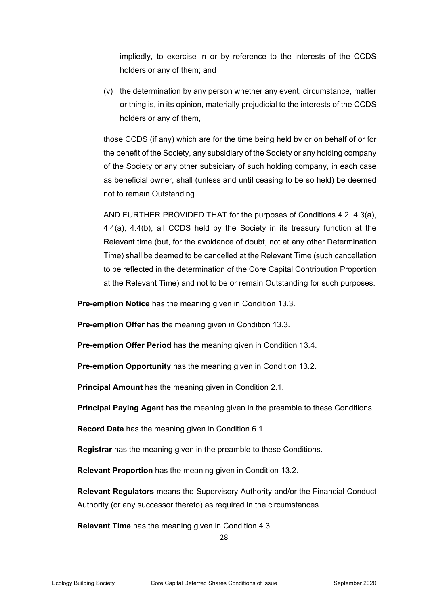impliedly, to exercise in or by reference to the interests of the CCDS holders or any of them; and

(v) the determination by any person whether any event, circumstance, matter or thing is, in its opinion, materially prejudicial to the interests of the CCDS holders or any of them,

those CCDS (if any) which are for the time being held by or on behalf of or for the benefit of the Society, any subsidiary of the Society or any holding company of the Society or any other subsidiary of such holding company, in each case as beneficial owner, shall (unless and until ceasing to be so held) be deemed not to remain Outstanding.

AND FURTHER PROVIDED THAT for the purposes of Conditions 4.2, 4.3(a), 4.4(a), 4.4(b), all CCDS held by the Society in its treasury function at the Relevant time (but, for the avoidance of doubt, not at any other Determination Time) shall be deemed to be cancelled at the Relevant Time (such cancellation to be reflected in the determination of the Core Capital Contribution Proportion at the Relevant Time) and not to be or remain Outstanding for such purposes.

**Pre-emption Notice** has the meaning given in Condition 13.3.

**Pre-emption Offer** has the meaning given in Condition 13.3.

**Pre-emption Offer Period** has the meaning given in Condition 13.4.

**Pre-emption Opportunity** has the meaning given in Condition 13.2.

**Principal Amount** has the meaning given in Condition 2.1.

**Principal Paying Agent** has the meaning given in the preamble to these Conditions.

**Record Date** has the meaning given in Condition 6.1.

**Registrar** has the meaning given in the preamble to these Conditions.

**Relevant Proportion** has the meaning given in Condition 13.2.

**Relevant Regulators** means the Supervisory Authority and/or the Financial Conduct Authority (or any successor thereto) as required in the circumstances.

**Relevant Time** has the meaning given in Condition 4.3.